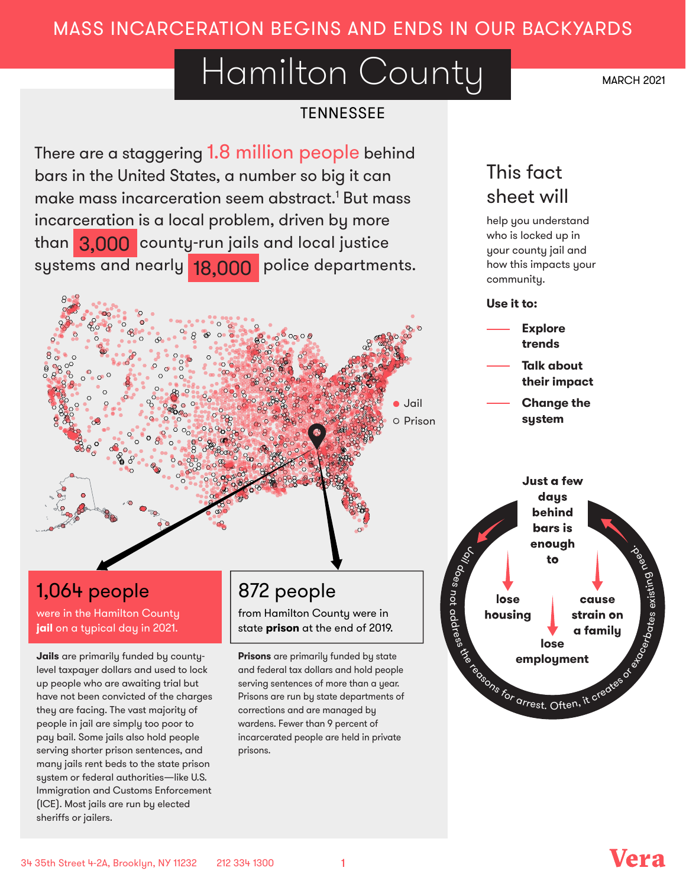## MASS INCARCERATION BEGINS AND ENDS IN OUR BACKYARDS

# Hamilton County

**TENNESSEE** 

There are a staggering 1.8 million people behind bars in the United States, a number so big it can make mass incarceration seem abstract. <sup>1</sup> But mass incarceration is a local problem, driven by more than <mark>3,000</mark> count<u>y-run jails</u> and local justice systems and nearly <mark>18,000</mark> police departments.



## 1,064 people

were in the Hamilton County **jail** on a typical day in 2021.

**Jails** are primarily funded by countylevel taxpayer dollars and used to lock up people who are awaiting trial but have not been convicted of the charges they are facing. The vast majority of people in jail are simply too poor to pay bail. Some jails also hold people serving shorter prison sentences, and many jails rent beds to the state prison system or federal authorities—like U.S. Immigration and Customs Enforcement (ICE). Most jails are run by elected sheriffs or jailers.

## 872 people

from Hamilton County were in state **prison** at the end of 2019.

**Prisons** are primarily funded by state and federal tax dollars and hold people serving sentences of more than a year. Prisons are run by state departments of corrections and are managed by wardens. Fewer than 9 percent of incarcerated people are held in private prisons.

## This fact sheet will

help you understand who is locked up in your county jail and how this impacts your community.

### **Use it to:**

**Explore trends Talk about their impact**

**Change the system**





MARCH 2021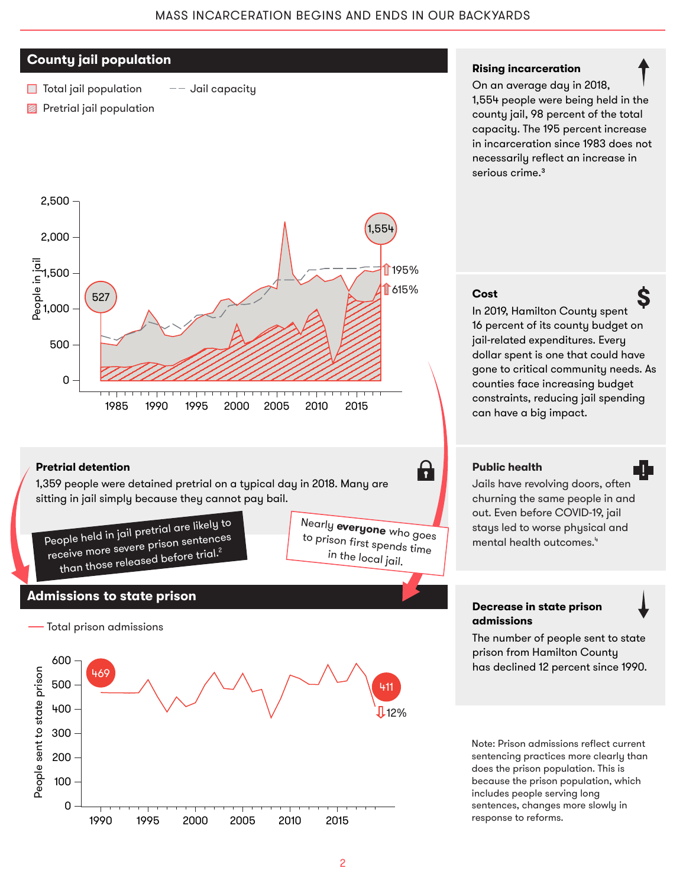### **County jail population**

- $\Box$  Total jail population  $--$  Jail capacity
- **Pretrial jail population**



#### **Pretrial detention**

1,359 people were detained pretrial on a typical day in 2018. Many are sitting in jail simply because they cannot pay bail.

> N to

early **everyone** who goes p rison frst spends time in the local jail.

8



#### **Admissions to state prison**



#### **Rising incarceration**

On an average day in 2018, 1,554 people were being held in the county jail, 98 percent of the total capacity. The 195 percent increase in incarceration since 1983 does not necessarily refect an increase in serious crime.<sup>3</sup>

#### **Cost**

In 2019, Hamilton County spent 16 percent of its county budget on jail-related expenditures. Every dollar spent is one that could have gone to critical community needs. As counties face increasing budget constraints, reducing jail spending can have a big impact.

#### **Public health**

Jails have revolving doors, often churning the same people in and out. Even before COVID-19, jail stays led to worse physical and mental health outcomes. 4

#### **Decrease in state prison admissions**



N.

Ś

The number of people sent to state prison from Hamilton County has declined 12 percent since 1990.

Note: Prison admissions refect current sentencing practices more clearly than does the prison population. This is because the prison population, which includes people serving long sentences, changes more slowly in response to reforms.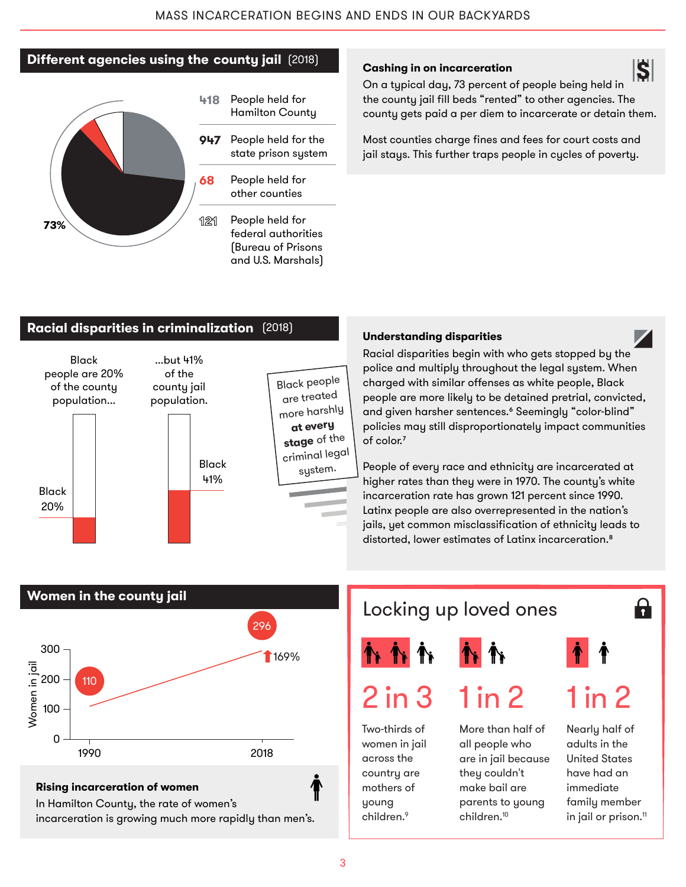## **Diferent agencies using the county jail** (2018)



- **418** People held for Hamilton County
- **947** People held for the state prison system
- **68** People held for other counties
- **121** People held for federal authorities (Bureau of Prisons and U.S. Marshals)

### **Cashing in on incarceration**

S On a typical day, 73 percent of people being held in the county jail fill beds "rented" to other agencies. The county gets paid a per diem to incarcerate or detain them.

Most counties charge fines and fees for court costs and jail stays. This further traps people in cycles of poverty.

#### **Racial disparities in criminalization** (2018)



### **Understanding disparities**

Racial disparities begin with who gets stopped by the police and multiply throughout the legal system. When charged with similar offenses as white people, Black people are more likely to be detained pretrial, convicted, and given harsher sentences.⁶ Seemingly "color-blind" policies may still disproportionately impact communities of color.<sup>7</sup>

People of every race and ethnicity are incarcerated at higher rates than they were in 1970. The county's white incarceration rate has grown 121 percent since 1990. Latinx people are also overrepresented in the nation's jails, yet common misclassification of ethnicity leads to distorted, lower estimates of Latinx incarceration.<sup>8</sup>



### **Rising incarceration of women**

In Hamilton County, the rate of women's incarceration is growing much more rapidly than men's.

## Locking up loved ones





Two-thirds of women in jail across the country are mothers of young children. 9

More than half of all people who are in jail because they couldn't make bail are parents to young children. 10

 $1 in 2$   $1 in 2$ 

 $\mathbf{h}$ 

Nearly half of adults in the United States have had an immediate family member in jail or prison. 11